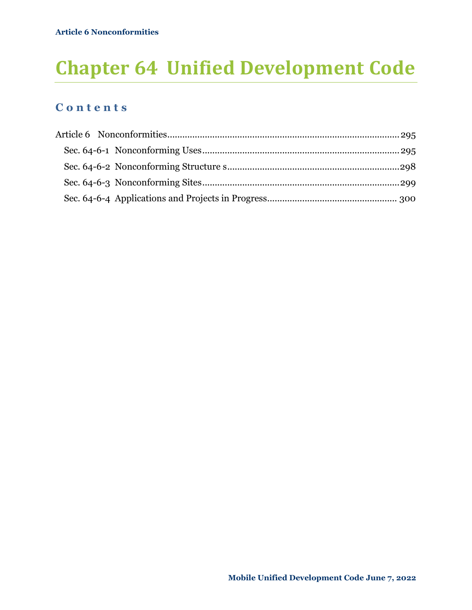# **Chapter 64 Unified Development Code**

### **C o n t e n t s**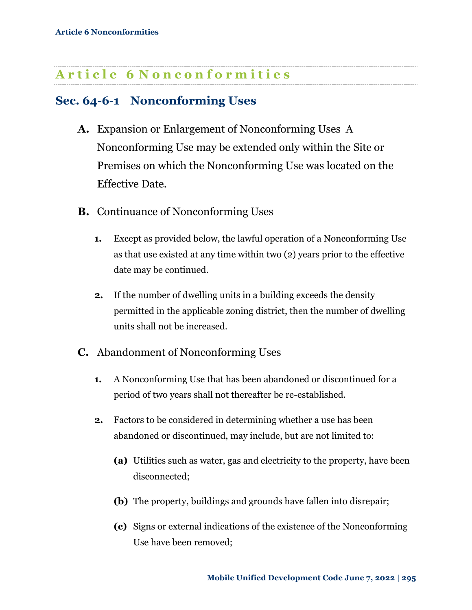## <span id="page-1-0"></span>**A r t i c l e 6 N o n c o n f o r m i t i e s**

## <span id="page-1-1"></span>**Sec. 64-6-1 Nonconforming Uses**

- **A.** Expansion or Enlargement of Nonconforming Uses A Nonconforming Use may be extended only within the Site or Premises on which the Nonconforming Use was located on the Effective Date.
- **B.** Continuance of Nonconforming Uses
	- **1.** Except as provided below, the lawful operation of a Nonconforming Use as that use existed at any time within two (2) years prior to the effective date may be continued.
	- **2.** If the number of dwelling units in a building exceeds the density permitted in the applicable zoning district, then the number of dwelling units shall not be increased.
- **C.** Abandonment of Nonconforming Uses
	- **1.** A Nonconforming Use that has been abandoned or discontinued for a period of two years shall not thereafter be re-established.
	- **2.** Factors to be considered in determining whether a use has been abandoned or discontinued, may include, but are not limited to:
		- **(a)** Utilities such as water, gas and electricity to the property, have been disconnected;
		- **(b)** The property, buildings and grounds have fallen into disrepair;
		- **(c)** Signs or external indications of the existence of the Nonconforming Use have been removed;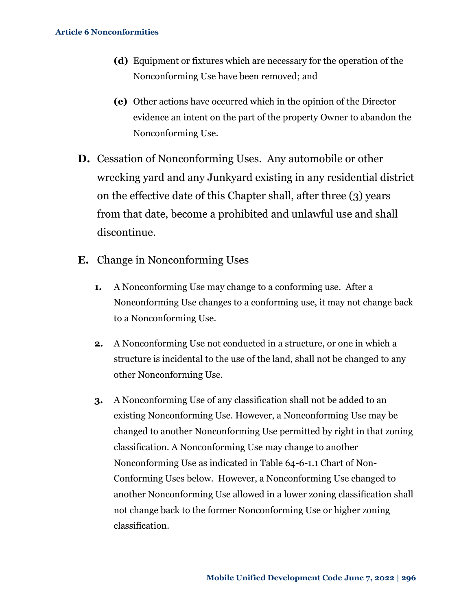- **(d)** Equipment or fixtures which are necessary for the operation of the Nonconforming Use have been removed; and
- **(e)** Other actions have occurred which in the opinion of the Director evidence an intent on the part of the property Owner to abandon the Nonconforming Use.
- **D.** Cessation of Nonconforming Uses. Any automobile or other wrecking yard and any Junkyard existing in any residential district on the effective date of this Chapter shall, after three (3) years from that date, become a prohibited and unlawful use and shall discontinue.
- **E.** Change in Nonconforming Uses
	- **1.** A Nonconforming Use may change to a conforming use. After a Nonconforming Use changes to a conforming use, it may not change back to a Nonconforming Use.
	- **2.** A Nonconforming Use not conducted in a structure, or one in which a structure is incidental to the use of the land, shall not be changed to any other Nonconforming Use.
	- **3.** A Nonconforming Use of any classification shall not be added to an existing Nonconforming Use. However, a Nonconforming Use may be changed to another Nonconforming Use permitted by right in that zoning classification. A Nonconforming Use may change to another Nonconforming Use as indicated in [Table 64-6-1.1](#page-3-0) Chart of Non-[Conforming Uses](#page-3-0) below. However, a Nonconforming Use changed to another Nonconforming Use allowed in a lower zoning classification shall not change back to the former Nonconforming Use or higher zoning classification.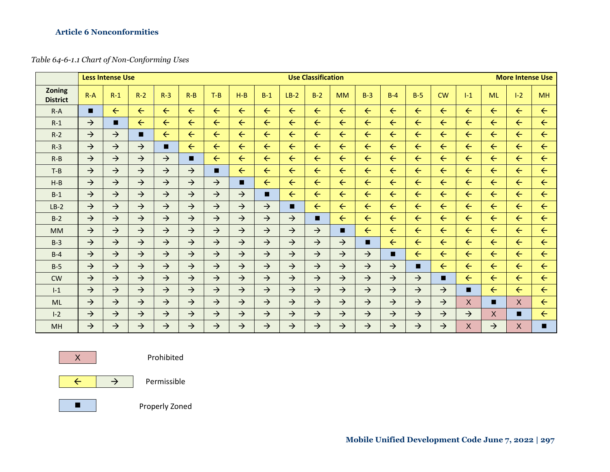#### **Article 6 Nonconformities**

#### *Table 64-6-1.1 Chart of Non-Conforming Uses*

<span id="page-3-0"></span>

|                                  |               | <b>Less Intense Use</b> |               |               |               |               | <b>Use Classification</b> |               |               |               |               |               |               |               |               | <b>More Intense Use</b> |               |              |              |  |
|----------------------------------|---------------|-------------------------|---------------|---------------|---------------|---------------|---------------------------|---------------|---------------|---------------|---------------|---------------|---------------|---------------|---------------|-------------------------|---------------|--------------|--------------|--|
| <b>Zoning</b><br><b>District</b> | $R - A$       | $R-1$                   | $R-2$         | $R-3$         | $R - B$       | $T-B$         | $H-B$                     | $B-1$         | $LB-2$        | $B-2$         | <b>MM</b>     | $B-3$         | $B-4$         | $B-5$         | <b>CW</b>     | $1-1$                   | <b>ML</b>     | $I - 2$      | <b>MH</b>    |  |
| $R-A$                            | п             | $\leftarrow$            | $\leftarrow$  | $\leftarrow$  | $\leftarrow$  | $\leftarrow$  | $\leftarrow$              | $\leftarrow$  | $\leftarrow$  | $\leftarrow$  | $\leftarrow$  | $\leftarrow$  | $\leftarrow$  | $\leftarrow$  | $\leftarrow$  | $\leftarrow$            | $\leftarrow$  | $\leftarrow$ | $\leftarrow$ |  |
| $R-1$                            | $\rightarrow$ | п                       | $\leftarrow$  | $\leftarrow$  | $\leftarrow$  | $\leftarrow$  | $\leftarrow$              | $\leftarrow$  | $\leftarrow$  | $\leftarrow$  | $\leftarrow$  | $\leftarrow$  | $\leftarrow$  | $\leftarrow$  | $\leftarrow$  | $\leftarrow$            | $\leftarrow$  | $\leftarrow$ | $\leftarrow$ |  |
| $R-2$                            | $\rightarrow$ | $\rightarrow$           | п             | $\leftarrow$  | $\leftarrow$  | $\leftarrow$  | $\leftarrow$              | $\leftarrow$  | $\leftarrow$  | $\leftarrow$  | $\leftarrow$  | $\leftarrow$  | $\leftarrow$  | $\leftarrow$  | $\leftarrow$  | $\leftarrow$            | $\leftarrow$  | $\leftarrow$ | $\leftarrow$ |  |
| $R-3$                            | $\rightarrow$ | $\rightarrow$           | $\rightarrow$ | п             | $\leftarrow$  | $\leftarrow$  | $\leftarrow$              | $\leftarrow$  | $\leftarrow$  | $\leftarrow$  | $\leftarrow$  | $\leftarrow$  | $\leftarrow$  | $\leftarrow$  | $\leftarrow$  | $\leftarrow$            | $\leftarrow$  | $\leftarrow$ | $\leftarrow$ |  |
| $R - B$                          | $\rightarrow$ | $\rightarrow$           | $\rightarrow$ | $\rightarrow$ | п             | $\leftarrow$  | $\leftarrow$              | $\leftarrow$  | $\leftarrow$  | $\leftarrow$  | $\leftarrow$  | $\leftarrow$  | $\leftarrow$  | $\leftarrow$  | $\leftarrow$  | $\leftarrow$            | $\leftarrow$  | $\leftarrow$ | $\leftarrow$ |  |
| $T-B$                            | $\rightarrow$ | $\rightarrow$           | $\rightarrow$ | $\rightarrow$ | $\rightarrow$ | п             | $\leftarrow$              | $\leftarrow$  | $\leftarrow$  | $\leftarrow$  | $\leftarrow$  | $\leftarrow$  | $\leftarrow$  | $\leftarrow$  | $\leftarrow$  | $\leftarrow$            | $\leftarrow$  | $\leftarrow$ | $\leftarrow$ |  |
| $H-B$                            | $\rightarrow$ | $\rightarrow$           | $\rightarrow$ | $\rightarrow$ | $\rightarrow$ | $\rightarrow$ | п                         | $\leftarrow$  | $\leftarrow$  | $\leftarrow$  | $\leftarrow$  | $\leftarrow$  | $\leftarrow$  | $\leftarrow$  | $\leftarrow$  | $\leftarrow$            | $\leftarrow$  | $\leftarrow$ | $\leftarrow$ |  |
| $B-1$                            | $\rightarrow$ | $\rightarrow$           | $\rightarrow$ | $\rightarrow$ | $\rightarrow$ | $\rightarrow$ | $\rightarrow$             | п             | $\leftarrow$  | $\leftarrow$  | $\leftarrow$  | $\leftarrow$  | $\leftarrow$  | $\leftarrow$  | $\leftarrow$  | $\leftarrow$            | $\leftarrow$  | $\leftarrow$ | $\leftarrow$ |  |
| $LB-2$                           | $\rightarrow$ | $\rightarrow$           | $\rightarrow$ | $\rightarrow$ | $\rightarrow$ | $\rightarrow$ | $\rightarrow$             | $\rightarrow$ | п             | $\leftarrow$  | $\leftarrow$  | $\leftarrow$  | $\leftarrow$  | $\leftarrow$  | $\leftarrow$  | $\leftarrow$            | $\leftarrow$  | $\leftarrow$ | $\leftarrow$ |  |
| $B-2$                            | $\rightarrow$ | $\rightarrow$           | $\rightarrow$ | $\rightarrow$ | $\rightarrow$ | $\rightarrow$ | $\rightarrow$             | $\rightarrow$ | $\rightarrow$ | п             | $\leftarrow$  | $\leftarrow$  | $\leftarrow$  | $\leftarrow$  | $\leftarrow$  | $\leftarrow$            | $\leftarrow$  | $\leftarrow$ | $\leftarrow$ |  |
| <b>MM</b>                        | $\rightarrow$ | $\rightarrow$           | $\rightarrow$ | $\rightarrow$ | $\rightarrow$ | $\rightarrow$ | $\rightarrow$             | $\rightarrow$ | $\rightarrow$ | $\rightarrow$ | п             | $\leftarrow$  | $\leftarrow$  | $\leftarrow$  | $\leftarrow$  | $\leftarrow$            | $\leftarrow$  | $\leftarrow$ | $\leftarrow$ |  |
| $B-3$                            | $\rightarrow$ | $\rightarrow$           | $\rightarrow$ | $\rightarrow$ | $\rightarrow$ | $\rightarrow$ | $\rightarrow$             | $\rightarrow$ | $\rightarrow$ | $\rightarrow$ | $\rightarrow$ | п             | $\leftarrow$  | $\leftarrow$  | $\leftarrow$  | $\leftarrow$            | $\leftarrow$  | $\leftarrow$ | $\leftarrow$ |  |
| $B-4$                            | $\rightarrow$ | $\rightarrow$           | $\rightarrow$ | $\rightarrow$ | $\rightarrow$ | $\rightarrow$ | $\rightarrow$             | $\rightarrow$ | $\rightarrow$ | $\rightarrow$ | $\rightarrow$ | $\rightarrow$ | п             | $\leftarrow$  | $\leftarrow$  | $\leftarrow$            | $\leftarrow$  | $\leftarrow$ | $\leftarrow$ |  |
| $B-5$                            | $\rightarrow$ | $\rightarrow$           | $\rightarrow$ | $\rightarrow$ | $\rightarrow$ | $\rightarrow$ | $\rightarrow$             | $\rightarrow$ | $\rightarrow$ | $\rightarrow$ | $\rightarrow$ | $\rightarrow$ | $\rightarrow$ | п             | $\leftarrow$  | $\leftarrow$            | $\leftarrow$  | $\leftarrow$ | $\leftarrow$ |  |
| CW                               | $\rightarrow$ | $\rightarrow$           | $\rightarrow$ | $\rightarrow$ | $\rightarrow$ | $\rightarrow$ | $\rightarrow$             | $\rightarrow$ | $\rightarrow$ | $\rightarrow$ | $\rightarrow$ | $\rightarrow$ | $\rightarrow$ | $\rightarrow$ |               | $\leftarrow$            | $\leftarrow$  | $\leftarrow$ | $\leftarrow$ |  |
| $I-1$                            | $\rightarrow$ | $\rightarrow$           | $\rightarrow$ | $\rightarrow$ | $\rightarrow$ | $\rightarrow$ | $\rightarrow$             | $\rightarrow$ | $\rightarrow$ | $\rightarrow$ | $\rightarrow$ | $\rightarrow$ | $\rightarrow$ | $\rightarrow$ | $\rightarrow$ | п                       | $\leftarrow$  | $\leftarrow$ | $\leftarrow$ |  |
| <b>ML</b>                        | $\rightarrow$ | $\rightarrow$           | $\rightarrow$ | $\rightarrow$ | $\rightarrow$ | $\rightarrow$ | $\rightarrow$             | $\rightarrow$ | $\rightarrow$ | $\rightarrow$ | $\rightarrow$ | $\rightarrow$ | $\rightarrow$ | $\rightarrow$ | $\rightarrow$ | $\mathsf{X}$            | п             | $\mathsf{X}$ | $\leftarrow$ |  |
| $I - 2$                          | $\rightarrow$ | $\rightarrow$           | $\rightarrow$ | $\rightarrow$ | $\rightarrow$ | $\rightarrow$ | $\rightarrow$             | $\rightarrow$ | $\rightarrow$ | $\rightarrow$ | $\rightarrow$ | $\rightarrow$ | $\rightarrow$ | $\rightarrow$ | $\rightarrow$ | $\rightarrow$           | X             | п            | $\leftarrow$ |  |
| <b>MH</b>                        | $\rightarrow$ | $\rightarrow$           | $\rightarrow$ | $\rightarrow$ | $\rightarrow$ | $\rightarrow$ | $\rightarrow$             | $\rightarrow$ | $\rightarrow$ | $\rightarrow$ | $\rightarrow$ | $\rightarrow$ | $\rightarrow$ | $\rightarrow$ | $\rightarrow$ | X                       | $\rightarrow$ | X            | п            |  |

X Prohibited





■ | Properly Zoned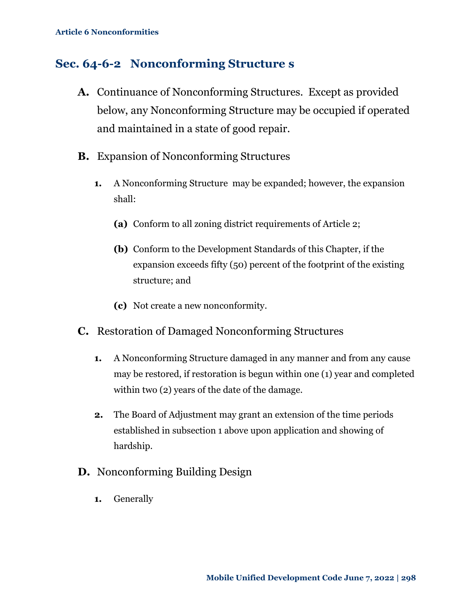### <span id="page-4-0"></span>**Sec. 64-6-2 Nonconforming Structure s**

- **A.** Continuance of Nonconforming Structures. Except as provided below, any Nonconforming Structure may be occupied if operated and maintained in a state of good repair.
- **B.** Expansion of Nonconforming Structures
	- **1.** A Nonconforming Structure may be expanded; however, the expansion shall:
		- **(a)** Conform to all zoning district requirements of Article 2;
		- **(b)** Conform to the Development Standards of this Chapter, if the expansion exceeds fifty (50) percent of the footprint of the existing structure; and
		- **(c)** Not create a new nonconformity.
- **C.** Restoration of Damaged Nonconforming Structures
	- **1.** A Nonconforming Structure damaged in any manner and from any cause may be restored, if restoration is begun within one (1) year and completed within two (2) years of the date of the damage.
	- **2.** The Board of Adjustment may grant an extension of the time periods established in subsection 1 above upon application and showing of hardship.
- **D.** Nonconforming Building Design
	- **1.** Generally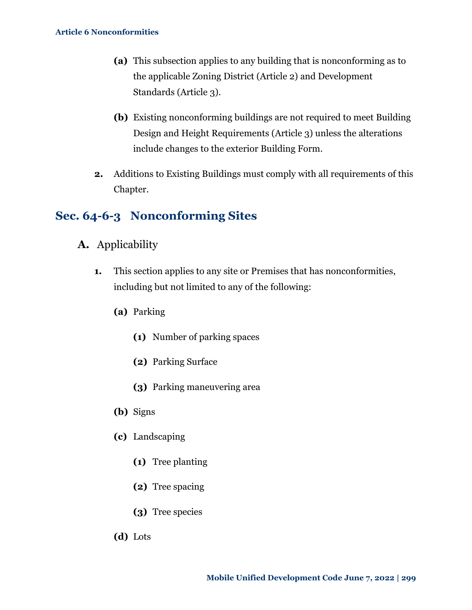- **(a)** This subsection applies to any building that is nonconforming as to the applicable Zoning District (Article 2) and Development Standards (Article 3).
- **(b)** Existing nonconforming buildings are not required to meet Building Design and Height Requirements (Article 3) unless the alterations include changes to the exterior Building Form.
- **2.** Additions to Existing Buildings must comply with all requirements of this Chapter.

## <span id="page-5-0"></span>**Sec. 64-6-3 Nonconforming Sites**

- **A.** Applicability
	- **1.** This section applies to any site or Premises that has nonconformities, including but not limited to any of the following:
		- **(a)** Parking
			- **(1)** Number of parking spaces
			- **(2)** Parking Surface
			- **(3)** Parking maneuvering area
		- **(b)** Signs
		- **(c)** Landscaping
			- **(1)** Tree planting
			- **(2)** Tree spacing
			- **(3)** Tree species
		- **(d)** Lots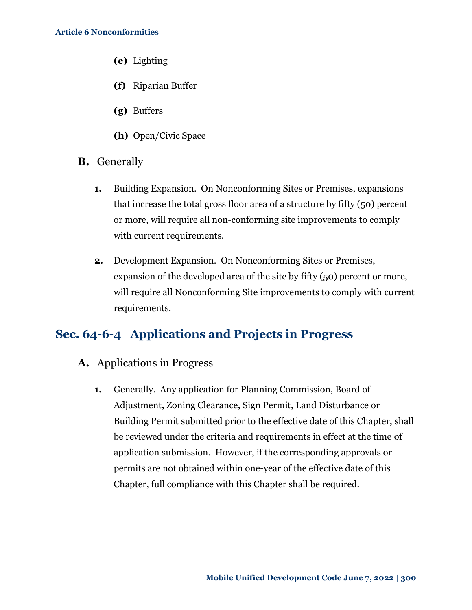- **(e)** Lighting
- **(f)** Riparian Buffer
- **(g)** Buffers
- **(h)** Open/Civic Space
- **B.** Generally
	- **1.** Building Expansion. On Nonconforming Sites or Premises, expansions that increase the total gross floor area of a structure by fifty (50) percent or more, will require all non-conforming site improvements to comply with current requirements.
	- **2.** Development Expansion. On Nonconforming Sites or Premises, expansion of the developed area of the site by fifty (50) percent or more, will require all Nonconforming Site improvements to comply with current requirements.

#### <span id="page-6-0"></span>**Sec. 64-6-4 Applications and Projects in Progress**

- **A.** Applications in Progress
	- **1.** Generally. Any application for Planning Commission, Board of Adjustment, Zoning Clearance, Sign Permit, Land Disturbance or Building Permit submitted prior to the effective date of this Chapter, shall be reviewed under the criteria and requirements in effect at the time of application submission. However, if the corresponding approvals or permits are not obtained within one-year of the effective date of this Chapter, full compliance with this Chapter shall be required.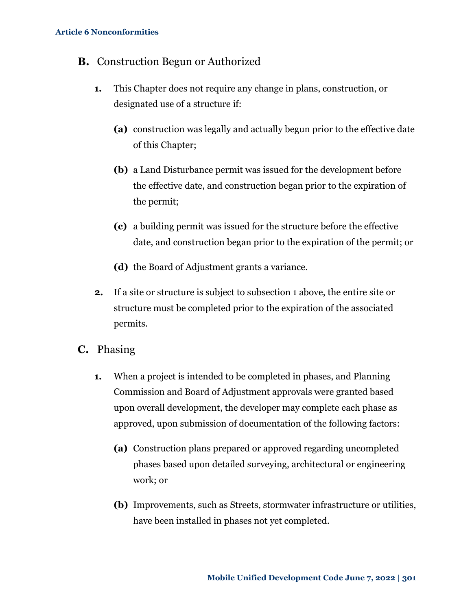#### **B.** Construction Begun or Authorized

- **1.** This Chapter does not require any change in plans, construction, or designated use of a structure if:
	- **(a)** construction was legally and actually begun prior to the effective date of this Chapter;
	- **(b)** a Land Disturbance permit was issued for the development before the effective date, and construction began prior to the expiration of the permit;
	- **(c)** a building permit was issued for the structure before the effective date, and construction began prior to the expiration of the permit; or
	- **(d)** the Board of Adjustment grants a variance.
- **2.** If a site or structure is subject to subsection 1 above, the entire site or structure must be completed prior to the expiration of the associated permits.
- **C.** Phasing
	- **1.** When a project is intended to be completed in phases, and Planning Commission and Board of Adjustment approvals were granted based upon overall development, the developer may complete each phase as approved, upon submission of documentation of the following factors:
		- **(a)** Construction plans prepared or approved regarding uncompleted phases based upon detailed surveying, architectural or engineering work; or
		- **(b)** Improvements, such as Streets, stormwater infrastructure or utilities, have been installed in phases not yet completed.